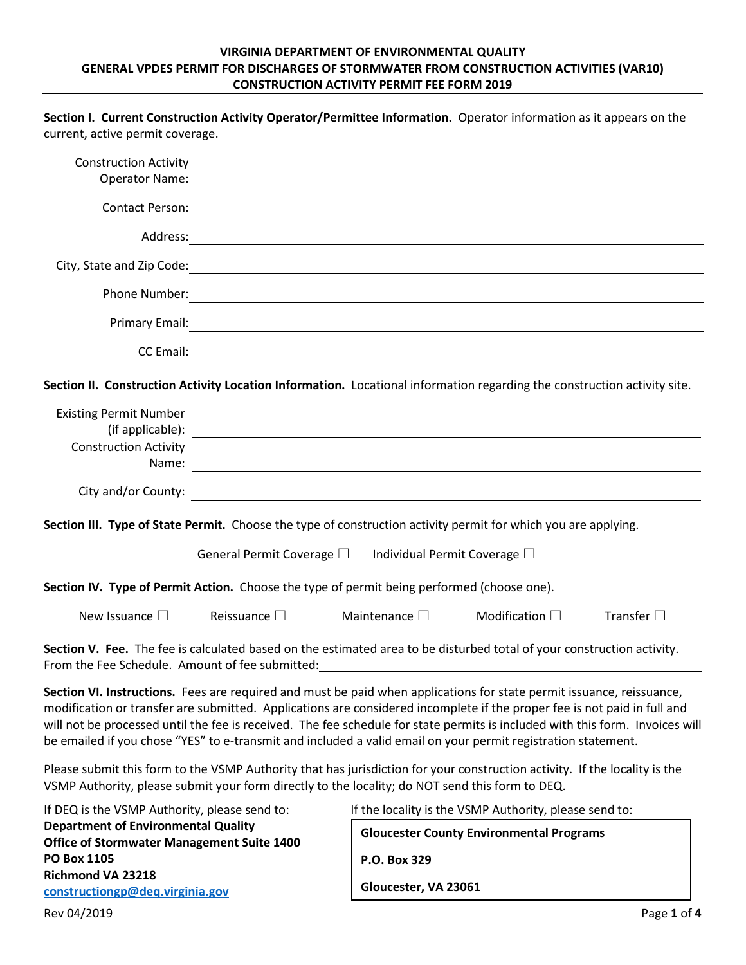## **VIRGINIA DEPARTMENT OF ENVIRONMENTAL QUALITY GENERAL VPDES PERMIT FOR DISCHARGES OF STORMWATER FROM CONSTRUCTION ACTIVITIES (VAR10) CONSTRUCTION ACTIVITY PERMIT FEE FORM 2019**

**Section I. Current Construction Activity Operator/Permittee Information.** Operator information as it appears on the

| current, active permit coverage.                                                                                                                                                                                                                                                                                                                                                                                                                                                                    |                                                                                                                                                                                                                               |                       |                                                        |                    |
|-----------------------------------------------------------------------------------------------------------------------------------------------------------------------------------------------------------------------------------------------------------------------------------------------------------------------------------------------------------------------------------------------------------------------------------------------------------------------------------------------------|-------------------------------------------------------------------------------------------------------------------------------------------------------------------------------------------------------------------------------|-----------------------|--------------------------------------------------------|--------------------|
| <b>Construction Activity</b>                                                                                                                                                                                                                                                                                                                                                                                                                                                                        | Operator Name: 1999 - 1999 - 1999 - 1999 - 1999 - 1999 - 1999 - 1999 - 1999 - 1999 - 1999 - 1999 - 1999 - 199                                                                                                                 |                       |                                                        |                    |
|                                                                                                                                                                                                                                                                                                                                                                                                                                                                                                     | Contact Person: 2008 Contact Person: 2008 Contact Person: 2008 Contact Person: 2008 Contact Person: 2008 Conta                                                                                                                |                       |                                                        |                    |
|                                                                                                                                                                                                                                                                                                                                                                                                                                                                                                     |                                                                                                                                                                                                                               |                       |                                                        |                    |
|                                                                                                                                                                                                                                                                                                                                                                                                                                                                                                     | City, State and Zip Code: 1986. The Commission of the City of the Contract of the City of the Contract of the Contract of the Contract of the Contract of the Contract of the Contract of the Contract of the Contract of the |                       |                                                        |                    |
|                                                                                                                                                                                                                                                                                                                                                                                                                                                                                                     |                                                                                                                                                                                                                               |                       |                                                        |                    |
|                                                                                                                                                                                                                                                                                                                                                                                                                                                                                                     | Primary Email: <u>Communication of the Communication of the Communication of the Communication of the Communication</u>                                                                                                       |                       |                                                        |                    |
|                                                                                                                                                                                                                                                                                                                                                                                                                                                                                                     |                                                                                                                                                                                                                               |                       |                                                        |                    |
| Section II. Construction Activity Location Information. Locational information regarding the construction activity site.                                                                                                                                                                                                                                                                                                                                                                            |                                                                                                                                                                                                                               |                       |                                                        |                    |
| <b>Existing Permit Number</b><br><b>Construction Activity</b>                                                                                                                                                                                                                                                                                                                                                                                                                                       |                                                                                                                                                                                                                               |                       |                                                        |                    |
|                                                                                                                                                                                                                                                                                                                                                                                                                                                                                                     |                                                                                                                                                                                                                               |                       |                                                        |                    |
| Section III. Type of State Permit. Choose the type of construction activity permit for which you are applying.                                                                                                                                                                                                                                                                                                                                                                                      |                                                                                                                                                                                                                               |                       |                                                        |                    |
|                                                                                                                                                                                                                                                                                                                                                                                                                                                                                                     | General Permit Coverage $\square$ Individual Permit Coverage $\square$                                                                                                                                                        |                       |                                                        |                    |
| Section IV. Type of Permit Action. Choose the type of permit being performed (choose one).                                                                                                                                                                                                                                                                                                                                                                                                          |                                                                                                                                                                                                                               |                       |                                                        |                    |
| New Issuance $\square$                                                                                                                                                                                                                                                                                                                                                                                                                                                                              | Reissuance $\square$                                                                                                                                                                                                          | Maintenance $\square$ | Modification $\square$                                 | Transfer $\square$ |
| Section V. Fee. The fee is calculated based on the estimated area to be disturbed total of your construction activity.                                                                                                                                                                                                                                                                                                                                                                              |                                                                                                                                                                                                                               |                       |                                                        |                    |
| From the Fee Schedule. Amount of fee submitted:                                                                                                                                                                                                                                                                                                                                                                                                                                                     |                                                                                                                                                                                                                               |                       |                                                        |                    |
| Section VI. Instructions. Fees are required and must be paid when applications for state permit issuance, reissuance,<br>modification or transfer are submitted. Applications are considered incomplete if the proper fee is not paid in full and<br>will not be processed until the fee is received. The fee schedule for state permits is included with this form. Invoices will<br>be emailed if you chose "YES" to e-transmit and included a valid email on your permit registration statement. |                                                                                                                                                                                                                               |                       |                                                        |                    |
| Please submit this form to the VSMP Authority that has jurisdiction for your construction activity. If the locality is the<br>VSMP Authority, please submit your form directly to the locality; do NOT send this form to DEQ.                                                                                                                                                                                                                                                                       |                                                                                                                                                                                                                               |                       |                                                        |                    |
| If DEQ is the VSMP Authority, please send to:                                                                                                                                                                                                                                                                                                                                                                                                                                                       |                                                                                                                                                                                                                               |                       | If the locality is the VSMP Authority, please send to: |                    |
| <b>Department of Environmental Quality</b><br><b>Office of Stormwater Management Suite 1400</b>                                                                                                                                                                                                                                                                                                                                                                                                     |                                                                                                                                                                                                                               |                       | <b>Gloucester County Environmental Programs</b>        |                    |
| <b>PO Box 1105</b><br><b>Richmond VA 23218</b>                                                                                                                                                                                                                                                                                                                                                                                                                                                      |                                                                                                                                                                                                                               | P.O. Box 329          |                                                        |                    |
| constructiongp@deq.virginia.gov                                                                                                                                                                                                                                                                                                                                                                                                                                                                     |                                                                                                                                                                                                                               | Gloucester, VA 23061  |                                                        |                    |
| Rev 04/2019                                                                                                                                                                                                                                                                                                                                                                                                                                                                                         |                                                                                                                                                                                                                               |                       |                                                        | Page 1 of 4        |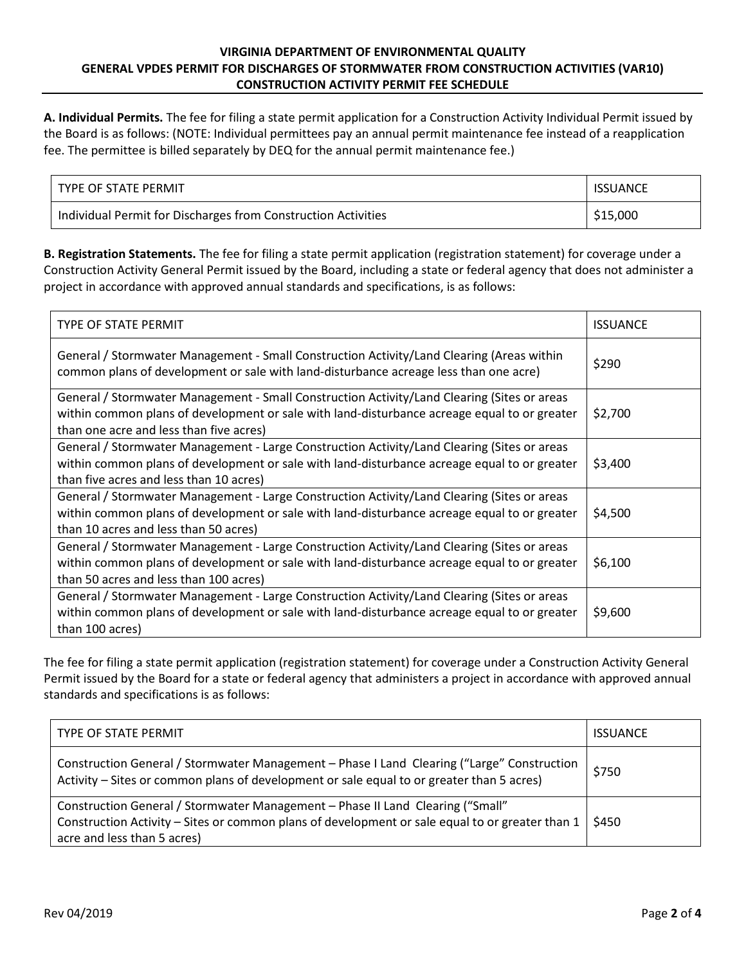## **VIRGINIA DEPARTMENT OF ENVIRONMENTAL QUALITY GENERAL VPDES PERMIT FOR DISCHARGES OF STORMWATER FROM CONSTRUCTION ACTIVITIES (VAR10) CONSTRUCTION ACTIVITY PERMIT FEE SCHEDULE**

**A. Individual Permits.** The fee for filing a state permit application for a Construction Activity Individual Permit issued by the Board is as follows: (NOTE: Individual permittees pay an annual permit maintenance fee instead of a reapplication fee. The permittee is billed separately by DEQ for the annual permit maintenance fee.)

| TYPE OF STATE PERMIT                                          | <b>ISSUANCE</b> |
|---------------------------------------------------------------|-----------------|
| Individual Permit for Discharges from Construction Activities | \$15,000        |

**B. Registration Statements.** The fee for filing a state permit application (registration statement) for coverage under a Construction Activity General Permit issued by the Board, including a state or federal agency that does not administer a project in accordance with approved annual standards and specifications, is as follows:

| <b>TYPE OF STATE PERMIT</b>                                                                                                                                                                                                            | <b>ISSUANCE</b> |
|----------------------------------------------------------------------------------------------------------------------------------------------------------------------------------------------------------------------------------------|-----------------|
| General / Stormwater Management - Small Construction Activity/Land Clearing (Areas within<br>common plans of development or sale with land-disturbance acreage less than one acre)                                                     | \$290           |
| General / Stormwater Management - Small Construction Activity/Land Clearing (Sites or areas<br>within common plans of development or sale with land-disturbance acreage equal to or greater<br>than one acre and less than five acres) | \$2,700         |
| General / Stormwater Management - Large Construction Activity/Land Clearing (Sites or areas<br>within common plans of development or sale with land-disturbance acreage equal to or greater<br>than five acres and less than 10 acres) | \$3,400         |
| General / Stormwater Management - Large Construction Activity/Land Clearing (Sites or areas<br>within common plans of development or sale with land-disturbance acreage equal to or greater<br>than 10 acres and less than 50 acres)   | \$4,500         |
| General / Stormwater Management - Large Construction Activity/Land Clearing (Sites or areas<br>within common plans of development or sale with land-disturbance acreage equal to or greater<br>than 50 acres and less than 100 acres)  | \$6,100         |
| General / Stormwater Management - Large Construction Activity/Land Clearing (Sites or areas<br>within common plans of development or sale with land-disturbance acreage equal to or greater<br>than 100 acres)                         | \$9,600         |

The fee for filing a state permit application (registration statement) for coverage under a Construction Activity General Permit issued by the Board for a state or federal agency that administers a project in accordance with approved annual standards and specifications is as follows:

| TYPE OF STATE PERMIT                                                                                                                                                                                             | <b>ISSUANCE</b> |
|------------------------------------------------------------------------------------------------------------------------------------------------------------------------------------------------------------------|-----------------|
| Construction General / Stormwater Management - Phase I Land Clearing ("Large" Construction<br>Activity - Sites or common plans of development or sale equal to or greater than 5 acres)                          | \$750           |
| Construction General / Stormwater Management - Phase II Land Clearing ("Small"<br>Construction Activity - Sites or common plans of development or sale equal to or greater than 1<br>acre and less than 5 acres) | \$450           |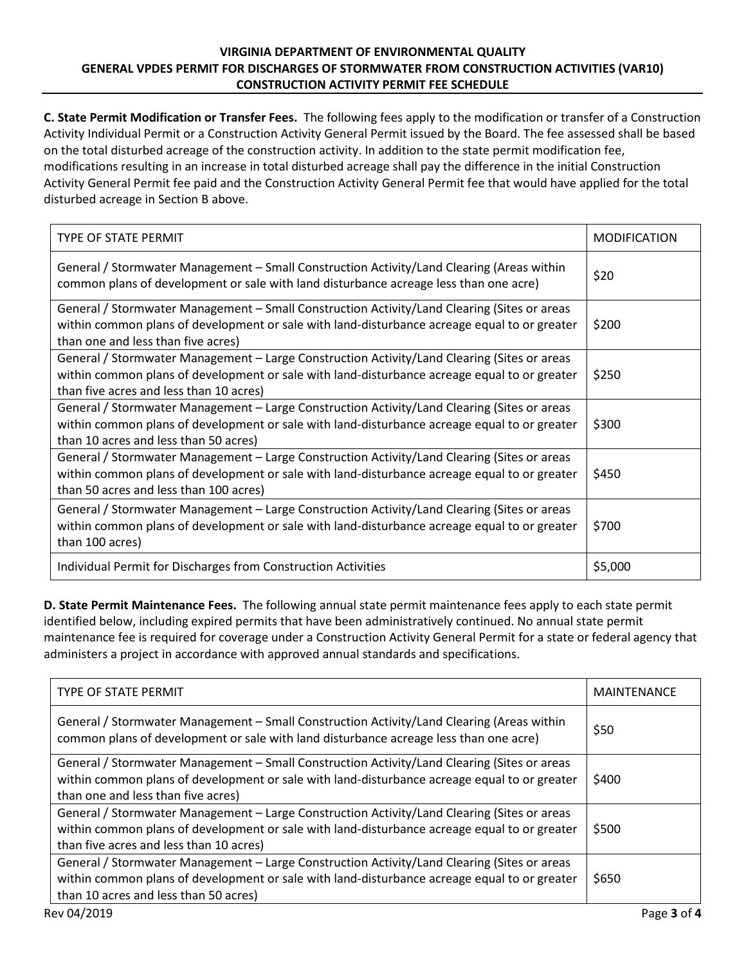## **VIRGINIA DEPARTMENT OF ENVIRONMENTAL QUALITY GENERAL VPDES PERMIT FOR DISCHARGES OF STORMWATER FROM CONSTRUCTION ACTIVITIES (VAR10) CONSTRUCTION ACTIVITY PERMIT FEE SCHEDULE**

**C. State Permit Modification or Transfer Fees.** The following fees apply to the modification or transfer of a Construction Activity Individual Permit or a Construction Activity General Permit issued by the Board. The fee assessed shall be based on the total disturbed acreage of the construction activity. In addition to the state permit modification fee, modifications resulting in an increase in total disturbed acreage shall pay the difference in the initial Construction Activity General Permit fee paid and the Construction Activity General Permit fee that would have applied for the total disturbed acreage in Section B above.

| <b>TYPE OF STATE PERMIT</b>                                                                                                                                                                                                            | <b>MODIFICATION</b> |
|----------------------------------------------------------------------------------------------------------------------------------------------------------------------------------------------------------------------------------------|---------------------|
| General / Stormwater Management – Small Construction Activity/Land Clearing (Areas within<br>common plans of development or sale with land disturbance acreage less than one acre)                                                     | \$20                |
| General / Stormwater Management – Small Construction Activity/Land Clearing (Sites or areas<br>within common plans of development or sale with land-disturbance acreage equal to or greater<br>than one and less than five acres)      | \$200               |
| General / Stormwater Management – Large Construction Activity/Land Clearing (Sites or areas<br>within common plans of development or sale with land-disturbance acreage equal to or greater<br>than five acres and less than 10 acres) | \$250               |
| General / Stormwater Management - Large Construction Activity/Land Clearing (Sites or areas<br>within common plans of development or sale with land-disturbance acreage equal to or greater<br>than 10 acres and less than 50 acres)   | \$300               |
| General / Stormwater Management - Large Construction Activity/Land Clearing (Sites or areas<br>within common plans of development or sale with land-disturbance acreage equal to or greater<br>than 50 acres and less than 100 acres)  | \$450               |
| General / Stormwater Management - Large Construction Activity/Land Clearing (Sites or areas<br>within common plans of development or sale with land-disturbance acreage equal to or greater<br>than 100 acres)                         | \$700               |
| Individual Permit for Discharges from Construction Activities                                                                                                                                                                          | \$5,000             |

**D. State Permit Maintenance Fees.** The following annual state permit maintenance fees apply to each state permit identified below, including expired permits that have been administratively continued. No annual state permit maintenance fee is required for coverage under a Construction Activity General Permit for a state or federal agency that administers a project in accordance with approved annual standards and specifications.

| <b>TYPE OF STATE PERMIT</b>                                                                                                                                                                                                            | <b>MAINTENANCE</b> |
|----------------------------------------------------------------------------------------------------------------------------------------------------------------------------------------------------------------------------------------|--------------------|
| General / Stormwater Management - Small Construction Activity/Land Clearing (Areas within<br>common plans of development or sale with land disturbance acreage less than one acre)                                                     | \$50               |
| General / Stormwater Management - Small Construction Activity/Land Clearing (Sites or areas<br>within common plans of development or sale with land-disturbance acreage equal to or greater<br>than one and less than five acres)      | \$400              |
| General / Stormwater Management - Large Construction Activity/Land Clearing (Sites or areas<br>within common plans of development or sale with land-disturbance acreage equal to or greater<br>than five acres and less than 10 acres) | \$500              |
| General / Stormwater Management - Large Construction Activity/Land Clearing (Sites or areas<br>within common plans of development or sale with land-disturbance acreage equal to or greater<br>than 10 acres and less than 50 acres)   | \$650              |